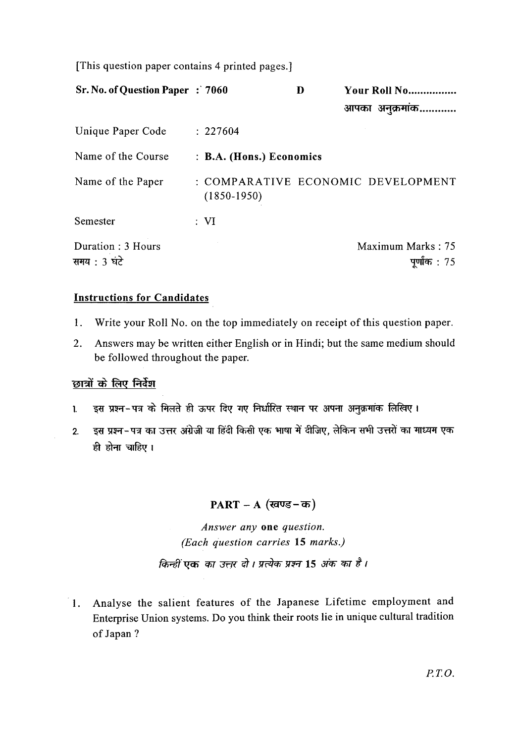[This question paper contains 4 printed pages.]

| Sr. No. of Question Paper : 7060  |                          | D | Your Roll No                         |
|-----------------------------------|--------------------------|---|--------------------------------------|
|                                   |                          |   | आपका अनुक्रमांक                      |
| Unique Paper Code                 | : 227604                 |   |                                      |
| Name of the Course                | : B.A. (Hons.) Economics |   |                                      |
| Name of the Paper                 | $(1850-1950)$            |   | : COMPARATIVE ECONOMIC DEVELOPMENT   |
| Semester                          | : VI                     |   |                                      |
| Duration: 3 Hours<br>समय : 3 घंटे |                          |   | Maximum Marks: 75<br>पुर्णांक $: 75$ |

## **Instructions for Candidates**

- 1. Write your Roll No. on the top immediately on receipt of this question paper.
- 2. Answers may be written either English or in Hindi; but the same medium should be followed throughout the paper.

## छात्रों के लिए निर्देश

- 1. इस प्रश्न-पत्र के मिलते ही ऊपर दिए गए निर्धारित स्थान पर अपना अनुक्रमांक लिखिए।
- 2. डस प्रश्न-पत्र का उत्तर अंग्रेजी या हिंदी किसी एक भाषा में दीजिए, लेकिन सभी उत्तरों का माध्यम एक ही होना चाहिए।

## PART – A (खण्ड-क)

*Answer any* **one** *question. (Each question carries* **15** *marks.)* 

किन्हीं एक का उत्तर दो। प्रत्येक प्रश्न 15 अंक का है।

1. Analyse the salient features of the Japanese Lifetime employment and Enterprise Union systems. Do you think their roots lie in unique cultural tradition of Japan?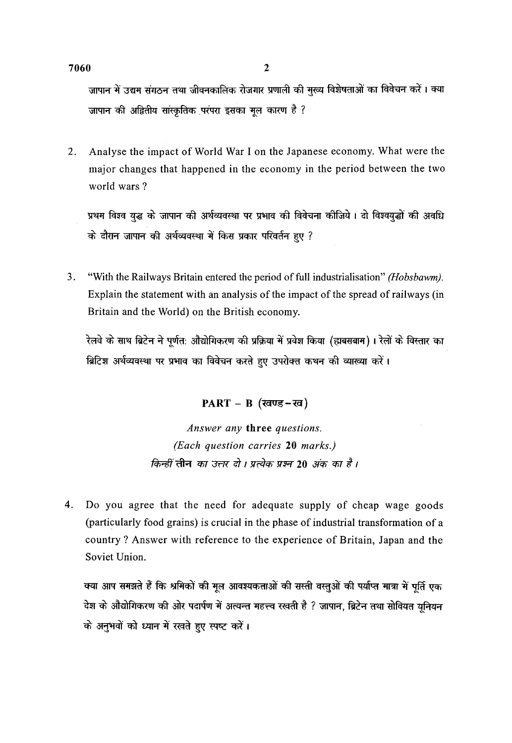जापान में उद्यम संगठन तथा जीवनकालिक रोजगार प्रणाली की मुख्य विशेषताओं का विवेचन करें। क्या जापान की अद्वितीय सांस्कृतिक परंपरा इसका मूल कारण है ?

2. Analyse the impact of World War I on the Japanese economy. What were the major changes that happened in the economy in the period between the two world wars?

wessen wessen<br>प्रथम विश्व युद्ध के जापान की अर्थव्यवस्था पर प्रभाव की विवेचना कीजिये । दो विश्वयुद्धों की अवधि प्रथम विश्व युद्ध के जापान की अर्थव्यवस्था पर प्रभाव की विवेचन<br>के दौरान जापान की अर्थव्यवस्था में किस प्रकार परिवर्तन हुए ?

3. "With the Railways Britain entered the period of full industrialisation" *(Hobsbawm).*  Explain the statement with an analysis of the impact of the spread of railways (in Britain and the World) on the British economy.

रेलवे के साथ ब्रिटेन ने पूर्णत: औद्योगिकरण की प्रक्रिया में प्रवेश किया (ह्मबसबाम)। रेलों के विस्तार का ब्रिटिश अर्थव्यवस्था पर प्रभाव का विवेचन करते हुए उपरोक्त कथन की व्याख्या करें।

PART - B (खण्ड-ख)

*Answer any* three *questions. (Each question carries* 20 *marks.) किन्हीं* तीन *का उत्तर दो । प्रत्येक प्रश्न* 20 *अंक का है ।* 

4. Do you agree that the need for adequate supply of cheap wage goods (particularly food grains) is crucial in the phase of industrial transformation of a country? Answer with reference to the experience of Britain, Japan and the Soviet Union.

क्या आप समझते हैं कि श्रमिकों की मूल आवश्यकताओं की सस्ती वस्तुओं की पर्याप्त मात्रा में पूर्ति एक<br>देश के औद्योगिकरण की ओर पदार्पण में अत्यन्त महत्त्व रखती है ? जापान, ब्रिटेन तथा सोवियत यनियन "' के अनुभवों को ध्यान में रखते हुए स्पष्ट करें।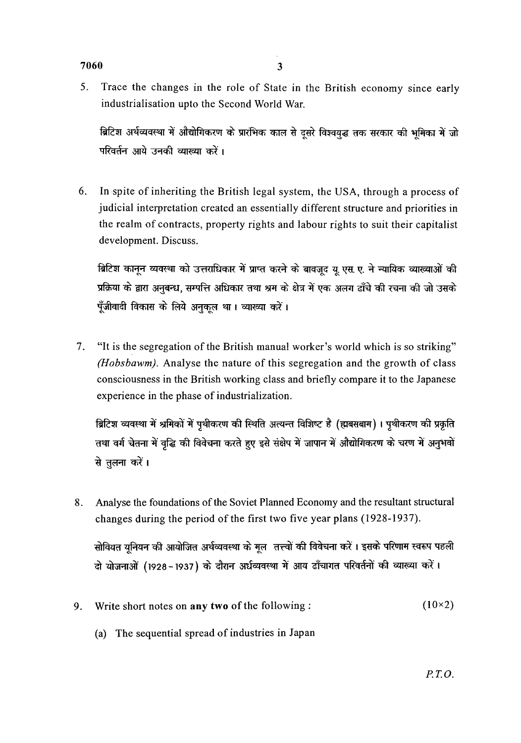## $7060$  3

- 
- 5. Trace the changes in the role of State in the British economy since early industrialisation upto the Second World War.

ब्रिटिश अर्थव्यवस्था में औद्योगिकरण के प्रारंभिक काल से दूसरे विश्वयुद्ध तक सरकार की भूमिका में जो परिवर्तन आये उनकी व्याख्या करें।

6. In spite of inheriting the British legal system, the USA, through a process of judicial interpretation created an essentially different structure and priorities in the realm of contracts, property rights and labour rights to suit their capitalist development. Discuss.

ब्रिटिश कानून व्यवस्था को उत्तराधिकार में प्राप्त करने के बावजूद यु. एस. ए. ने न्यायिक व्याख्याओं की प्रक्रिया के द्वारा अनुबन्ध, सम्पत्ति अधिकार तथा श्रम के क्षेत्र में एक अलग ढाँचे की रचना की जो उसके पूँजीवादी विकास के लिये अनुकुल था। व्याख्या करें।

7. "It is the segregation of the British manual worker's world which is so striking" *(Hobsbawm).* Analyse the nature of this segregation and the growth of class consciousness in the British working class and briefly compare it to the Japanese experience in the phase of industrialization.

ब्रिटिश व्यवस्था में श्रमिकों में पृथीकरण की स्थिति अत्यन्त विशिष्ट है (ह्मबसबाम)। पृथीकरण की प्रकृति तथा वर्ग चेतना में वृद्धि की विवेचना करते हुए इसे संक्षेप में जापान में औद्योगिकरण के चरण में अनुभवों से तुलना करें।

8. Analyse the foundations of the Soviet Planned Economy and the resultant structural changes during the period of the first two five year plans (1928-1937).

सोवियत युनियन की आयोजित अर्थव्यवस्था के मूल) तत्त्वों की विवेचना करें । इसके परिणाम स्वरूप पहली दो योजनाओं (1928-1937) के दौरान अर्धव्यवस्था में आय ढाँचागत परिवर्तनों की व्याख्या करें।

- 9. Write short notes on any two of the following :  $(10\times2)$ 
	- (a) The sequential spread of industries in Japan